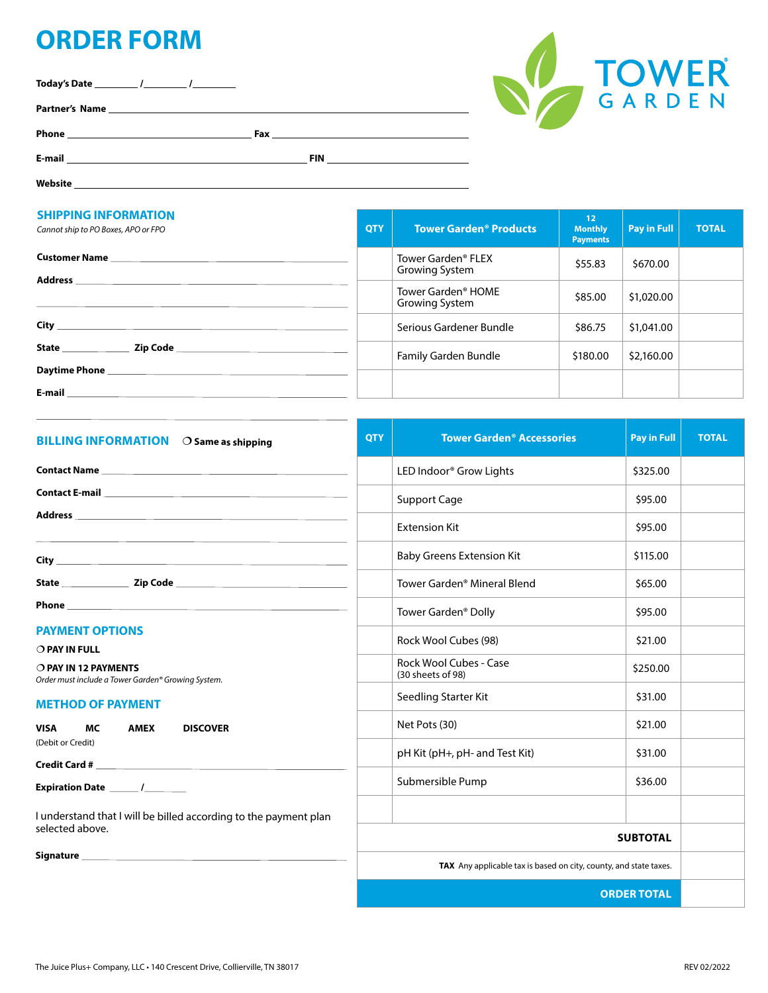## **ORDER FORM**

**Today's Date / /**

**Partner's Name**

**Phone Fax**

**E-mail FIN** 

**Website**

#### **SHIPPING INFORMATION**

| <b>SHIPPING INFORMATION</b><br>Cannot ship to PO Boxes, APO or FPO                                                                                                                                                                                                                                                                                     | <b>QTY</b> | <b>Tower Garden<sup>®</sup> Products</b>         | 12 <sub>2</sub><br><b>Monthly</b><br><b>Payments</b> | <b>Pay in Full</b> | <b>TOTAL</b> |
|--------------------------------------------------------------------------------------------------------------------------------------------------------------------------------------------------------------------------------------------------------------------------------------------------------------------------------------------------------|------------|--------------------------------------------------|------------------------------------------------------|--------------------|--------------|
| <b>Customer Name</b> and the control of the control of the control of the control of the control of the control of the control of the control of the control of the control of the control of the control of the control of the con<br>Address and the contract of the contract of the contract of the contract of the contract of the contract of the |            | Tower Garden <sup>®</sup> FLEX<br>Growing System | \$55.83                                              | \$670.00           |              |
|                                                                                                                                                                                                                                                                                                                                                        |            | Tower Garden <sup>®</sup> HOME<br>Growing System | \$85.00                                              | \$1,020.00         |              |
| City                                                                                                                                                                                                                                                                                                                                                   |            | Serious Gardener Bundle                          | \$86.75                                              | \$1,041.00         |              |
| Zip Code<br><b>State State</b>                                                                                                                                                                                                                                                                                                                         |            | Family Garden Bundle                             | \$180.00                                             | \$2,160.00         |              |
| E-mail                                                                                                                                                                                                                                                                                                                                                 |            |                                                  |                                                      |                    |              |

| <b>BILLING INFORMATION</b> O Same as shipping                                                                                                                                                                                                                                                       | <b>QTY</b> | <b>Tower Garden<sup>®</sup> Accessories</b> | <b>Pay in Full</b> | <b>TOTAL</b> |  |
|-----------------------------------------------------------------------------------------------------------------------------------------------------------------------------------------------------------------------------------------------------------------------------------------------------|------------|---------------------------------------------|--------------------|--------------|--|
|                                                                                                                                                                                                                                                                                                     |            | LED Indoor® Grow Lights                     | \$325.00           |              |  |
|                                                                                                                                                                                                                                                                                                     |            | Support Cage                                | \$95.00            |              |  |
|                                                                                                                                                                                                                                                                                                     |            | <b>Extension Kit</b>                        | \$95.00            |              |  |
|                                                                                                                                                                                                                                                                                                     |            | <b>Baby Greens Extension Kit</b>            | \$115.00           |              |  |
|                                                                                                                                                                                                                                                                                                     |            | Tower Garden <sup>®</sup> Mineral Blend     | \$65.00            |              |  |
| <b>Phone <i>Contract Contract Contract Contract Contract Contract Contract Contract Contract Contract Contract Contract Contract Contract Contract Contract Contract Contract Contract Contract Contract Contract Contract Contr</i></b>                                                            |            | Tower Garden <sup>®</sup> Dolly             | \$95.00            |              |  |
| <b>PAYMENT OPTIONS</b><br>O PAY IN FULL                                                                                                                                                                                                                                                             |            | Rock Wool Cubes (98)                        | \$21.00            |              |  |
| O PAY IN 12 PAYMENTS<br>Order must include a Tower Garden® Growing System.                                                                                                                                                                                                                          |            | Rock Wool Cubes - Case<br>(30 sheets of 98) | \$250.00           |              |  |
| <b>METHOD OF PAYMENT</b>                                                                                                                                                                                                                                                                            |            | Seedling Starter Kit                        | \$31.00            |              |  |
| <b>VISA</b><br>MC.<br><b>AMEX</b><br><b>DISCOVER</b><br>(Debit or Credit)                                                                                                                                                                                                                           |            | Net Pots (30)                               | \$21.00            |              |  |
|                                                                                                                                                                                                                                                                                                     |            | pH Kit (pH+, pH- and Test Kit)              | \$31.00            |              |  |
|                                                                                                                                                                                                                                                                                                     |            | Submersible Pump                            | \$36.00            |              |  |
| I understand that I will be billed according to the payment plan                                                                                                                                                                                                                                    |            |                                             |                    |              |  |
| selected above.                                                                                                                                                                                                                                                                                     |            | <b>SUBTOTAL</b>                             |                    |              |  |
| Signature experience and the state of the state of the state of the state of the state of the state of the state of the state of the state of the state of the state of the state of the state of the state of the state of th<br>TAX Any applicable tax is based on city, county, and state taxes. |            |                                             |                    |              |  |
|                                                                                                                                                                                                                                                                                                     |            |                                             |                    |              |  |